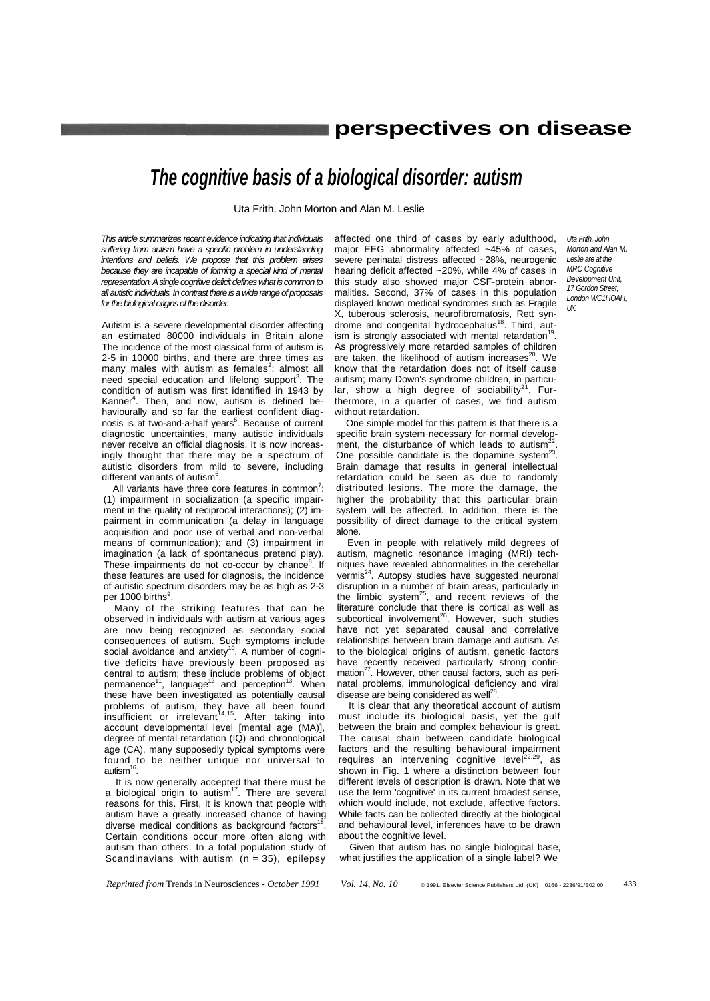# *The cognitive basis of a biological disorder: autism*

Uta Frith, John Morton and Alan M. Leslie

*This article summarizes recent evidence indicating that individuals suffering from autism have a specific problem in understanding intentions and beliefs. We propose that this problem arises because they are incapable of forming a special kind of mental representation. A single cognitive deficit defines what is common to all autistic individuals. In contrast there is a wide range of proposals for the biological origins of the disorder.* 

Autism is a severe developmental disorder affecting an estimated 80000 individuals in Britain alone The incidence of the most classical form of autism is 2-5 in 10000 births, and there are three times as many males with autism as females<sup>2</sup>; almost all need special education and lifelong support<sup>3</sup>. The condition of autism was first identified in 1943 by Kanner<sup>4</sup>. Then, and now, autism is defined behaviourally and so far the earliest confident diagnosis is at two-and-a-half years<sup>5</sup>. Because of current diagnostic uncertainties, many autistic individuals never receive an official diagnosis. It is now increasingly thought that there may be a spectrum of autistic disorders from mild to severe, including different variants of autism<sup>6</sup>.

All variants have three core features in common<sup>7</sup>: (1) impairment in socialization (a specific impairment in the quality of reciprocal interactions); (2) impairment in communication (a delay in language acquisition and poor use of verbal and non-verbal means of communication); and (3) impairment in imagination (a lack of spontaneous pretend play). These impairments do not co-occur by chance<sup>8</sup>. If these features are used for diagnosis, the incidence of autistic spectrum disorders may be as high as 2-3 per 1000 births<sup>9</sup>.

Many of the striking features that can be observed in individuals with autism at various ages are now being recognized as secondary social consequences of autism. Such symptoms include social avoidance and anxiety<sup>10</sup>. A number of cognitive deficits have previously been proposed as central to autism; these include problems of object permanence<sup>11</sup>, language<sup>12</sup> and perception<sup>13</sup>. When these have been investigated as potentially causal problems of autism, they have all been found insufficient or irrelevant $14,15$ . After taking into account developmental level [mental age (MA)], degree of mental retardation (IQ) and chronological age (CA), many supposedly typical symptoms were found to be neither unique nor universal to autism $16$ .

It is now generally accepted that there must be a biological origin to autism<sup>17</sup>. There are several reasons for this. First, it is known that people with autism have a greatly increased chance of having diverse medical conditions as background factors<sup>1</sup> Certain conditions occur more often along with autism than others. In a total population study of Scandinavians with autism  $(n = 35)$ , epilepsy

affected one third of cases by early adulthood, major EEG abnormality affected ~45% of cases, severe perinatal distress affected ~28%, neurogenic hearing deficit affected ~20%, while 4% of cases in this study also showed major CSF-protein abnormalities. Second, 37% of cases in this population displayed known medical syndromes such as Fragile X, tuberous sclerosis, neurofibromatosis, Rett syndrome and congenital hydrocephalus<sup>18</sup>. Third, autism is strongly associated with mental retardation<sup>19</sup> As progressively more retarded samples of children are taken, the likelihood of autism increases $^{20}$ . We know that the retardation does not of itself cause autism; many Down's syndrome children, in particular, show a high degree of sociability<sup>21</sup>. Furthermore, in a quarter of cases, we find autism without retardation.

One simple model for this pattern is that there is a specific brain system necessary for normal development, the disturbance of which leads to autism<sup>2</sup> One possible candidate is the dopamine system $^{23}$ . Brain damage that results in general intellectual retardation could be seen as due to randomly distributed lesions. The more the damage, the higher the probability that this particular brain system will be affected. In addition, there is the possibility of direct damage to the critical system alone.

Even in people with relatively mild degrees of autism, magnetic resonance imaging (MRI) techniques have revealed abnormalities in the cerebellar vermis<sup>24</sup>. Autopsy studies have suggested neuronal disruption in a number of brain areas, particularly in the limbic system $^{25}$ , and recent reviews of the literature conclude that there is cortical as well as subcortical involvement<sup>26</sup>. However, such studies have not yet separated causal and correlative relationships between brain damage and autism. As to the biological origins of autism, genetic factors have recently received particularly strong confirmation<sup>27</sup>. However, other causal factors, such as perinatal problems, immunological deficiency and viral disease are being considered as well $^{28}$ 

It is clear that any theoretical account of autism must include its biological basis, yet the gulf between the brain and complex behaviour is great. The causal chain between candidate biological factors and the resulting behavioural impairment requires an intervening cognitive level $2^{2,29}$ , as shown in Fig. 1 where a distinction between four different levels of description is drawn. Note that we use the term 'cognitive' in its current broadest sense, which would include, not exclude, affective factors. While facts can be collected directly at the biological and behavioural level, inferences have to be drawn about the cognitive level.

Given that autism has no single biological base, what justifies the application of a single label? We

*Uta Frith, John Morton and Alan M. Leslie are at the MRC Cognitive Development Unit, 17 Gordon Street, London WC1HOAH, UK.*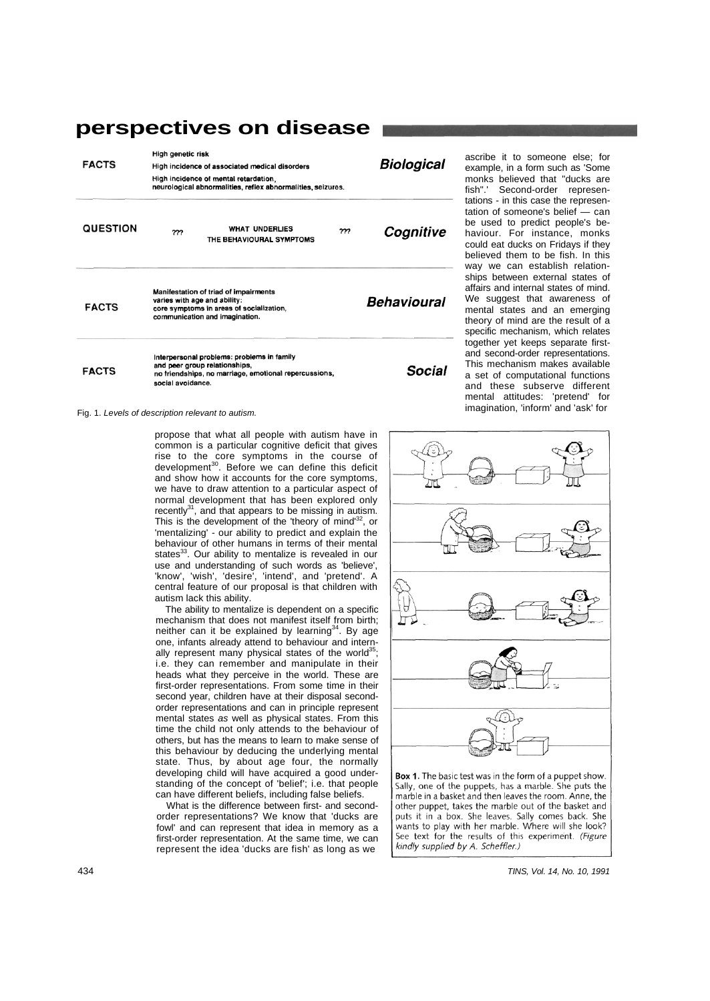| <b>FACTS</b>    | High genetic risk<br>High incidence of associated medical disorders<br>High incidence of mental retardation,<br>neurological abnormalities, reflex abnormalities, seizures. | <b>Biological</b> |
|-----------------|-----------------------------------------------------------------------------------------------------------------------------------------------------------------------------|-------------------|
| <b>QUESTION</b> | <b>WHAT UNDERLIES</b><br>777<br>777<br>THE BEHAVIOURAL SYMPTOMS                                                                                                             | Cognitive         |
| <b>FACTS</b>    | Manifestation of triad of impairments<br>varies with age and ability:<br>core symptoms in areas of socialization,<br>communication and imagination.                         | Behavioural       |
| <b>FACTS</b>    | Interpersonal problems: problems in family<br>and peer group relationships,<br>no friendships, no marriage, emotional repercussions,<br>social avoidance.                   | Social            |

ascribe it to someone else; for example, in a form such as 'Some monks believed that "ducks are fish".' Second-order representations - in this case the representation of someone's belief — can be used to predict people's behaviour. For instance, monks could eat ducks on Fridays if they believed them to be fish. In this way we can establish relationships between external states of affairs and internal states of mind. We suggest that awareness of mental states and an emerging theory of mind are the result of a specific mechanism, which relates together yet keeps separate firstand second-order representations. This mechanism makes available a set of computational functions and these subserve different mental attitudes: 'pretend' for imagination, 'inform' and 'ask' for

#### Fig. 1. *Levels of description relevant to autism.*

propose that what all people with autism have in common is a particular cognitive deficit that gives rise to the core symptoms in the course of development<sup>30</sup>. Before we can define this deficit and show how it accounts for the core symptoms, we have to draw attention to a particular aspect of normal development that has been explored only recently $31$ , and that appears to be missing in autism. This is the development of the 'theory of mind<sup>32</sup>, or 'mentalizing' - our ability to predict and explain the behaviour of other humans in terms of their mental states<sup>33</sup>. Our ability to mentalize is revealed in our use and understanding of such words as 'believe', 'know', 'wish', 'desire', 'intend', and 'pretend'. A central feature of our proposal is that children with autism lack this ability.

The ability to mentalize is dependent on a specific mechanism that does not manifest itself from birth; neither can it be explained by learning<sup>34</sup>. By age one, infants already attend to behaviour and internally represent many physical states of the world $^{35}$ ; i.e. they can remember and manipulate in their heads what they perceive in the world. These are first-order representations. From some time in their second year, children have at their disposal secondorder representations and can in principle represent mental states *as* well as physical states. From this time the child not only attends to the behaviour of others, but has the means to learn to make sense of this behaviour by deducing the underlying mental state. Thus, by about age four, the normally developing child will have acquired a good understanding of the concept of 'belief'; i.e. that people can have different beliefs, including false beliefs.

What is the difference between first- and secondorder representations? We know that 'ducks are fowl' and can represent that idea in memory as a first-order representation. At the same time, we can represent the idea 'ducks are fish' as long as we



wants to play with her marble. Where will she look? See text for the results of this experiment. (Figure

kindly supplied by A. Scheffler.)

434 *TINS, Vol. 14, No. 10, 1991*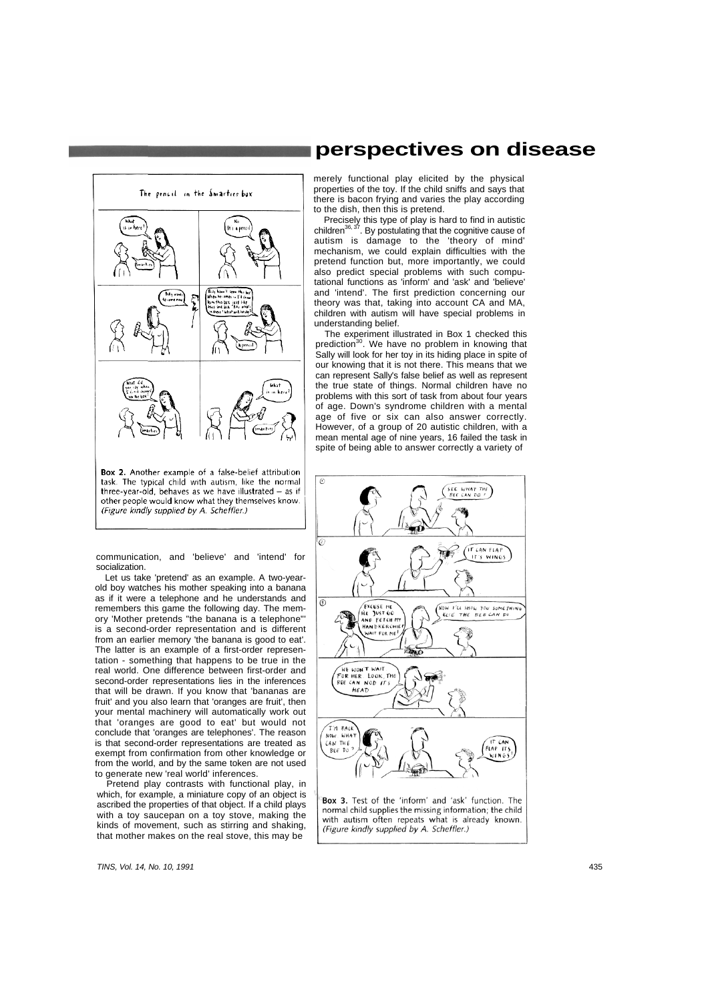

communication, and 'believe' and 'intend' for socialization.

Let us take 'pretend' as an example. A two-yearold boy watches his mother speaking into a banana as if it were a telephone and he understands and remembers this game the following day. The memory 'Mother pretends "the banana is a telephone"' is a second-order representation and is different from an earlier memory 'the banana is good to eat'. The latter is an example of a first-order representation - something that happens to be true in the real world. One difference between first-order and second-order representations lies in the inferences that will be drawn. If you know that 'bananas are fruit' and you also learn that 'oranges are fruit', then your mental machinery will automatically work out that 'oranges are good to eat' but would not conclude that 'oranges are telephones'. The reason is that second-order representations are treated as exempt from confirmation from other knowledge or from the world, and by the same token are not used to generate new 'real world' inferences.

Pretend play contrasts with functional play, in which, for example, a miniature copy of an object is ascribed the properties of that object. If a child plays with a toy saucepan on a toy stove, making the kinds of movement, such as stirring and shaking, that mother makes on the real stove, this may be

### **perspectives on disease**

merely functional play elicited by the physical properties of the toy. If the child sniffs and says that there is bacon frying and varies the play according to the dish, then this is pretend.

Precisely this type of play is hard to find in autistic children $36, 37$ . By postulating that the cognitive cause of autism is damage to the 'theory of mind' mechanism, we could explain difficulties with the pretend function but, more importantly, we could also predict special problems with such computational functions as 'inform' and 'ask' and 'believe' and 'intend'. The first prediction concerning our theory was that, taking into account CA and MA, children with autism will have special problems in understanding belief.

The experiment illustrated in Box 1 checked this prediction<sup>30</sup>. We have no problem in knowing that Sally will look for her toy in its hiding place in spite of our knowing that it is not there. This means that we can represent Sally's false belief as well as represent the true state of things. Normal children have no problems with this sort of task from about four years of age. Down's syndrome children with a mental age of five or six can also answer correctly. However, of a group of 20 autistic children, with a mean mental age of nine years, 16 failed the task in spite of being able to answer correctly a variety of



Box 3. Test of the 'inform' and 'ask' function. The normal child supplies the missing information; the child with autism often repeats what is already known. (Figure kindly supplied by A. Scheffler.)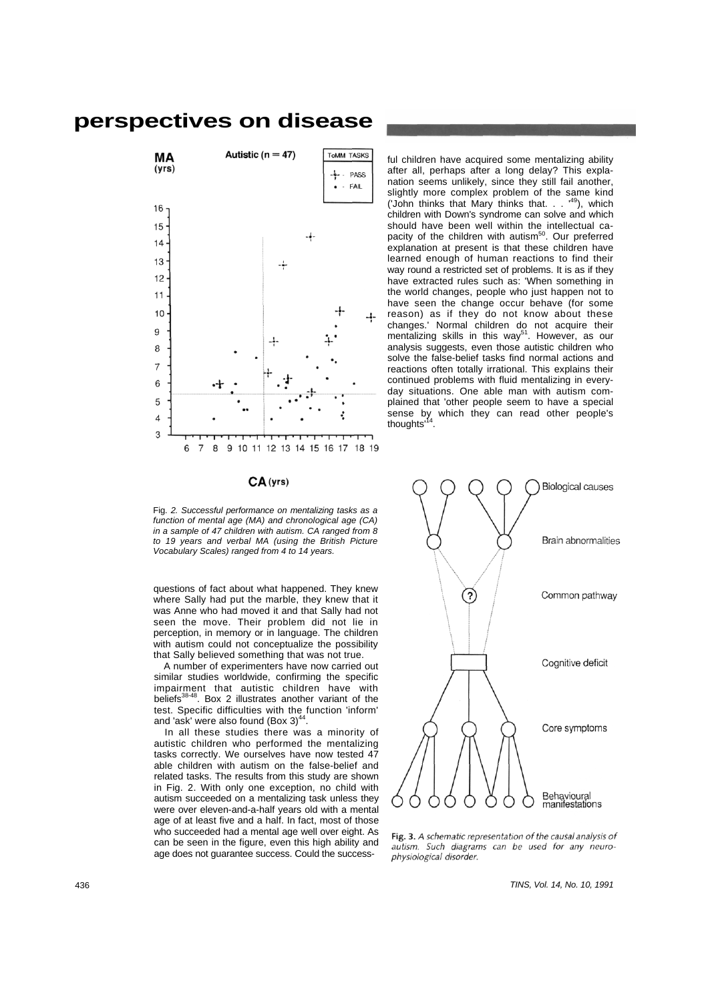

ful children have acquired some mentalizing ability after all, perhaps after a long delay? This explanation seems unlikely, since they still fail another, slightly more complex problem of the same kind ('John thinks that Mary thinks that. . . '<sup>49</sup>), which children with Down's syndrome can solve and which should have been well within the intellectual capacity of the children with autism<sup>50</sup>. Our preferred explanation at present is that these children have learned enough of human reactions to find their way round a restricted set of problems. It is as if they have extracted rules such as: 'When something in the world changes, people who just happen not to have seen the change occur behave (for some reason) as if they do not know about these changes.' Normal children do not acquire their mentalizing skills in this way<sup>51</sup>. However, as our analysis suggests, even those autistic children who solve the false-belief tasks find normal actions and reactions often totally irrational. This explains their continued problems with fluid mentalizing in everyday situations. One able man with autism complained that 'other people seem to have a special sense by which they can read other people's thoughts'

 $CA$  (yrs)

Fig. *2. Successful performance on mentalizing tasks as a function of mental age (MA) and chronological age (CA) in a sample of 47 children with autism. CA ranged from 8 to 19 years and verbal MA (using the British Picture Vocabulary Scales) ranged from 4 to 14 years.*

questions of fact about what happened. They knew where Sally had put the marble, they knew that it was Anne who had moved it and that Sally had not seen the move. Their problem did not lie in perception, in memory or in language. The children with autism could not conceptualize the possibility that Sally believed something that was not true.

A number of experimenters have now carried out similar studies worldwide, confirming the specific impairment that autistic children have with beliefs<sup>38-48</sup>. Box 2 illustrates another variant of the test. Specific difficulties with the function 'inform' and 'ask' were also found (Box  $3)^4$ 

In all these studies there was a minority of autistic children who performed the mentalizing tasks correctly. We ourselves have now tested 47 able children with autism on the false-belief and related tasks. The results from this study are shown in Fig. 2. With only one exception, no child with autism succeeded on a mentalizing task unless they were over eleven-and-a-half years old with a mental age of at least five and a half. In fact, most of those who succeeded had a mental age well over eight. As can be seen in the figure, even this high ability and age does not guarantee success. Could the success-



Fig. 3. A schematic representation of the causal analysis of autism. Such diagrams can be used for any neurophysiological disorder.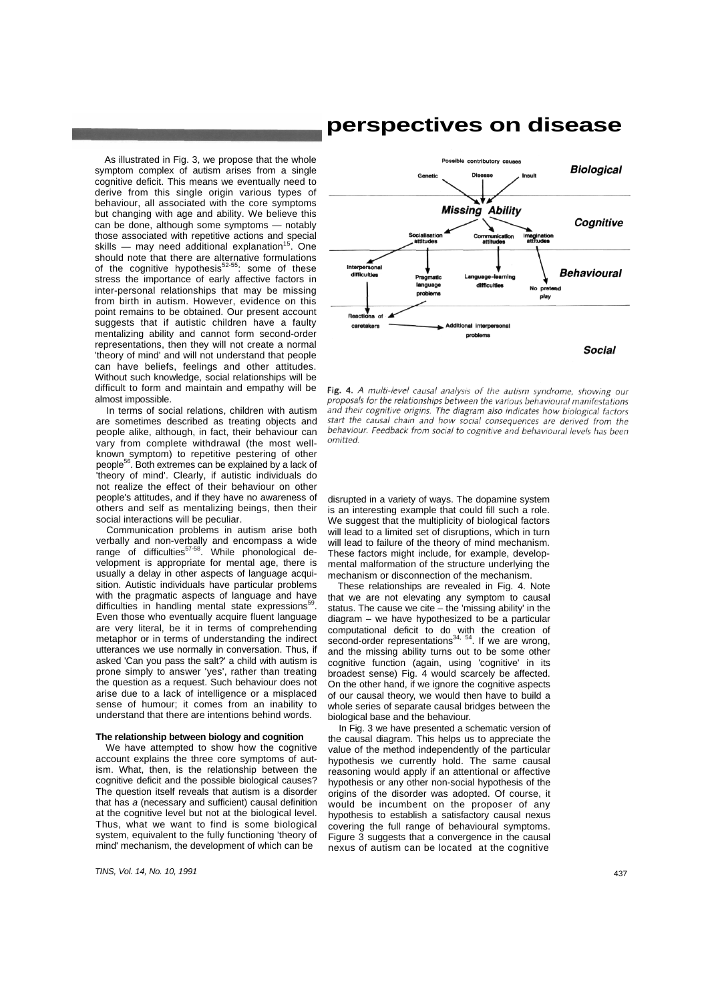As illustrated in Fig. 3, we propose that the whole symptom complex of autism arises from a single cognitive deficit. This means we eventually need to derive from this single origin various types of behaviour, all associated with the core symptoms but changing with age and ability. We believe this can be done, although some symptoms — notably those associated with repetitive actions and special skills — may need additional explanation<sup>15</sup>. One should note that there are alternative formulations of the cognitive hypothesis<sup>52-55</sup>: some of these stress the importance of early affective factors in inter-personal relationships that may be missing from birth in autism. However, evidence on this point remains to be obtained. Our present account suggests that if autistic children have a faulty mentalizing ability and cannot form second-order representations, then they will not create a normal 'theory of mind' and will not understand that people can have beliefs, feelings and other attitudes. Without such knowledge, social relationships will be difficult to form and maintain and empathy will be almost impossible.

In terms of social relations, children with autism are sometimes described as treating objects and people alike, although, in fact, their behaviour can vary from complete withdrawal (the most wellknown symptom) to repetitive pestering of other people<sup>56</sup>. Both extremes can be explained by a lack of 'theory of mind'. Clearly, if autistic individuals do not realize the effect of their behaviour on other people's attitudes, and if they have no awareness of others and self as mentalizing beings, then their social interactions will be peculiar.

Communication problems in autism arise both verbally and non-verbally and encompass a wide range of difficulties<sup>57-58</sup>. While phonological development is appropriate for mental age, there is usually a delay in other aspects of language acquisition. Autistic individuals have particular problems with the pragmatic aspects of language and have difficulties in handling mental state expressions<sup>59</sup>. Even those who eventually acquire fluent language are very literal, be it in terms of comprehending metaphor or in terms of understanding the indirect utterances we use normally in conversation. Thus, if asked 'Can you pass the salt?' a child with autism is prone simply to answer 'yes', rather than treating the question as a request. Such behaviour does not arise due to a lack of intelligence or a misplaced sense of humour; it comes from an inability to understand that there are intentions behind words.

### **The relationship between biology and cognition**

We have attempted to show how the cognitive account explains the three core symptoms of autism. What, then, is the relationship between the cognitive deficit and the possible biological causes? The question itself reveals that autism is a disorder that has *a* (necessary and sufficient) causal definition at the cognitive level but not at the biological level. Thus, what we want to find is some biological system, equivalent to the fully functioning 'theory of mind' mechanism, the development of which can be

*TINS, Vol. 14, No. 10, 1991* 437

## **perspectives on disease**



Fig. 4. A multi-level causal analysis of the autism syndrome, showing our proposals for the relationships between the various behavioural manifestations and their cognitive origins. The diagram also indicates how biological factors start the causal chain and how social consequences are derived from the behaviour. Feedback from social to cognitive and behavioural levels has been omitted.

disrupted in a variety of ways. The dopamine system is an interesting example that could fill such a role. We suggest that the multiplicity of biological factors will lead to a limited set of disruptions, which in turn will lead to failure of the theory of mind mechanism. These factors might include, for example, developmental malformation of the structure underlying the mechanism or disconnection of the mechanism.

These relationships are revealed in Fig. 4. Note that we are not elevating any symptom to causal status. The cause we cite – the 'missing ability' in the diagram – we have hypothesized to be a particular computational deficit to do with the creation of second-order representations $34, 54$ . If we are wrong, and the missing ability turns out to be some other cognitive function (again, using 'cognitive' in its broadest sense) Fig. 4 would scarcely be affected. On the other hand, if we ignore the cognitive aspects of our causal theory, we would then have to build a whole series of separate causal bridges between the biological base and the behaviour.

In Fig. 3 we have presented a schematic version of the causal diagram. This helps us to appreciate the value of the method independently of the particular hypothesis we currently hold. The same causal reasoning would apply if an attentional or affective hypothesis or any other non-social hypothesis of the origins of the disorder was adopted. Of course, it would be incumbent on the proposer of any hypothesis to establish a satisfactory causal nexus covering the full range of behavioural symptoms. Figure 3 suggests that a convergence in the causal nexus of autism can be located at the cognitive